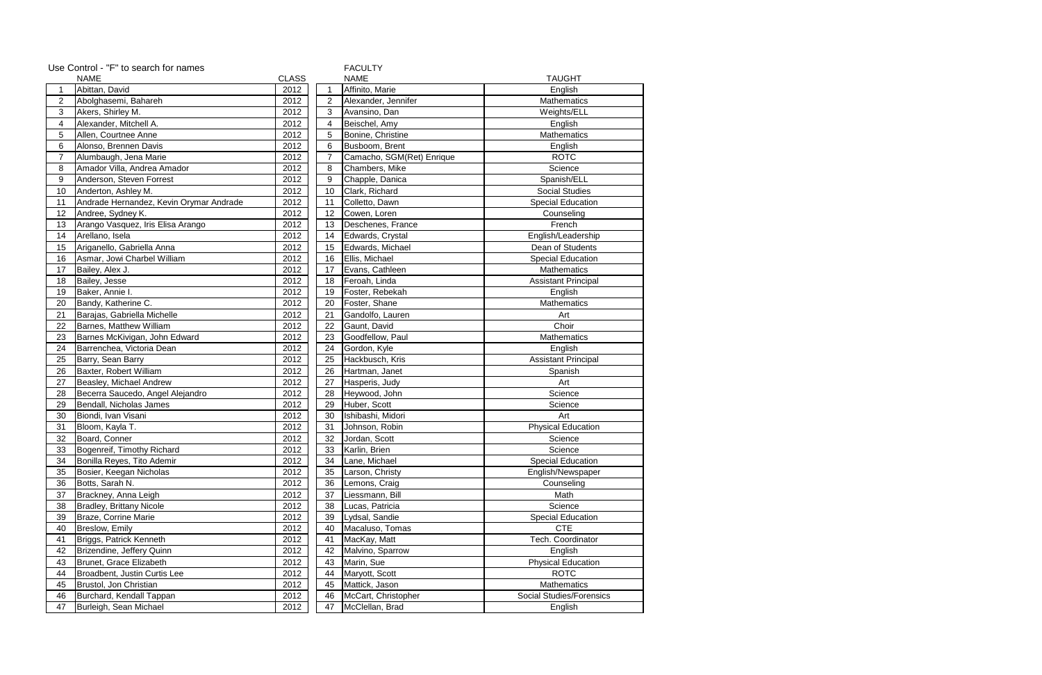|                | Use Control - "F" to search for names<br><b>FACULTY</b> |              |                              |                            |                            |  |  |  |
|----------------|---------------------------------------------------------|--------------|------------------------------|----------------------------|----------------------------|--|--|--|
|                | <b>NAME</b>                                             | <b>CLASS</b> | <b>NAME</b><br><b>TAUGHT</b> |                            |                            |  |  |  |
| 1              | Abittan, David                                          | 2012         | -1                           | Affinito, Marie<br>English |                            |  |  |  |
| $\overline{2}$ | Abolghasemi, Bahareh                                    | 2012         | 2                            | Alexander, Jennifer        | Mathematics                |  |  |  |
| 3              | Akers, Shirley M.                                       | 2012         | 3                            | Avansino, Dan              | Weights/ELL                |  |  |  |
| 4              | Alexander, Mitchell A.                                  | 2012         | 4                            | Beischel, Amy              | English                    |  |  |  |
| 5              | Allen, Courtnee Anne                                    | 2012         | 5                            | Bonine, Christine          | Mathematics                |  |  |  |
| 6              | Alonso, Brennen Davis                                   | 2012         | 6                            | Busboom, Brent             | English                    |  |  |  |
| $\overline{7}$ | Alumbaugh, Jena Marie                                   | 2012         | $\overline{7}$               | Camacho, SGM(Ret) Enrique  | <b>ROTC</b>                |  |  |  |
| 8              | Amador Villa, Andrea Amador                             | 2012         | 8                            | Chambers, Mike             | Science                    |  |  |  |
| 9              | Anderson, Steven Forrest                                | 2012         | 9                            | Chapple, Danica            | Spanish/ELL                |  |  |  |
| 10             | Anderton, Ashley M.                                     | 2012         | 10                           | Clark, Richard             | <b>Social Studies</b>      |  |  |  |
| 11             | Andrade Hernandez, Kevin Orymar Andrade                 | 2012         | 11                           | Colletto, Dawn             | <b>Special Education</b>   |  |  |  |
| 12             | Andree, Sydney K.                                       | 2012         | 12                           | Cowen, Loren               | Counseling                 |  |  |  |
| 13             | Arango Vasquez, Iris Elisa Arango                       | 2012         | 13                           | Deschenes, France          | French                     |  |  |  |
| 14             | Arellano, Isela                                         | 2012         | 14                           | Edwards, Crystal           | English/Leadership         |  |  |  |
| 15             | Ariganello, Gabriella Anna                              | 2012         | 15                           | Edwards, Michael           | Dean of Students           |  |  |  |
| 16             | Asmar, Jowi Charbel William                             | 2012         | 16                           | Ellis, Michael             | <b>Special Education</b>   |  |  |  |
| 17             | Bailey, Alex J.                                         | 2012         | 17                           | Evans, Cathleen            | Mathematics                |  |  |  |
| 18             | Bailey, Jesse                                           | 2012         | 18                           | Feroah, Linda              | <b>Assistant Principal</b> |  |  |  |
| 19             | Baker, Annie I.                                         | 2012         | 19                           | Foster, Rebekah            | English                    |  |  |  |
| 20             | Bandy, Katherine C.                                     | 2012         | 20                           | Foster, Shane              | Mathematics                |  |  |  |
| 21             | Barajas, Gabriella Michelle                             | 2012         | 21                           | Gandolfo, Lauren           | Art                        |  |  |  |
| 22             | Barnes, Matthew William                                 | 2012         | 22                           | Gaunt, David               | Choir                      |  |  |  |
| 23             | Barnes McKivigan, John Edward                           | 2012         | 23                           | Goodfellow, Paul           | <b>Mathematics</b>         |  |  |  |
| 24             | Barrenchea, Victoria Dean                               | 2012         | 24                           | Gordon, Kyle               | English                    |  |  |  |
| 25             | Barry, Sean Barry                                       | 2012         | 25                           | Hackbusch, Kris            | <b>Assistant Principal</b> |  |  |  |
| 26             | Baxter, Robert William                                  | 2012         | 26                           | Hartman, Janet             | Spanish                    |  |  |  |
| 27             | Beasley, Michael Andrew                                 | 2012         | 27                           | Hasperis, Judy             | Art                        |  |  |  |
| 28             | Becerra Saucedo, Angel Alejandro                        | 2012         | 28                           | Heywood, John              | Science                    |  |  |  |
| 29             | Bendall, Nicholas James                                 | 2012         | 29                           | Huber, Scott               | Science                    |  |  |  |
| 30             | Biondi, Ivan Visani                                     | 2012         | 30                           | Ishibashi, Midori          | Art                        |  |  |  |
| 31             | Bloom, Kayla T.                                         | 2012         | 31                           | Johnson, Robin             | <b>Physical Education</b>  |  |  |  |
| 32             | Board, Conner                                           | 2012         | 32                           | Jordan, Scott              | Science                    |  |  |  |
| 33             | Bogenreif, Timothy Richard                              | 2012         | 33                           | Karlin, Brien              | Science                    |  |  |  |
| 34             | Bonilla Reyes, Tito Ademir                              | 2012         | 34                           | Lane, Michael              | <b>Special Education</b>   |  |  |  |
| 35             | Bosier, Keegan Nicholas                                 | 2012         | 35                           | Larson, Christy            | English/Newspaper          |  |  |  |
| 36             | Botts, Sarah N.                                         | 2012         | 36                           | Lemons, Craig              | Counseling                 |  |  |  |
| 37             | Brackney, Anna Leigh                                    | 2012         | 37                           | Liessmann, Bill            | Math                       |  |  |  |
| 38             | <b>Bradley, Brittany Nicole</b>                         | 2012         | 38                           | Lucas, Patricia            | Science                    |  |  |  |
| 39             | Braze, Corrine Marie                                    | 2012         | 39                           | Lydsal, Sandie             | <b>Special Education</b>   |  |  |  |
| 40             | Breslow, Emily                                          | 2012         | 40                           | Macaluso, Tomas            | <b>CTE</b>                 |  |  |  |
| 41             | Briggs, Patrick Kenneth                                 | 2012         | 41                           | MacKay, Matt               | Tech. Coordinator          |  |  |  |
| 42             | Brizendine, Jeffery Quinn                               | 2012         | 42                           | Malvino, Sparrow           | English                    |  |  |  |
| 43             | Brunet, Grace Elizabeth                                 | 2012         | 43                           | Marin, Sue                 | <b>Physical Education</b>  |  |  |  |
| 44             | Broadbent, Justin Curtis Lee                            | 2012         | 44                           | Maryott, Scott             | <b>ROTC</b>                |  |  |  |
| 45             | Brustol, Jon Christian                                  | 2012         | 45                           | Mattick, Jason             | Mathematics                |  |  |  |
| 46             | Burchard, Kendall Tappan                                | 2012         | 46                           | McCart, Christopher        | Social Studies/Forensics   |  |  |  |
| 47             | Burleigh, Sean Michael                                  | 2012         | 47                           | McClellan, Brad            | English                    |  |  |  |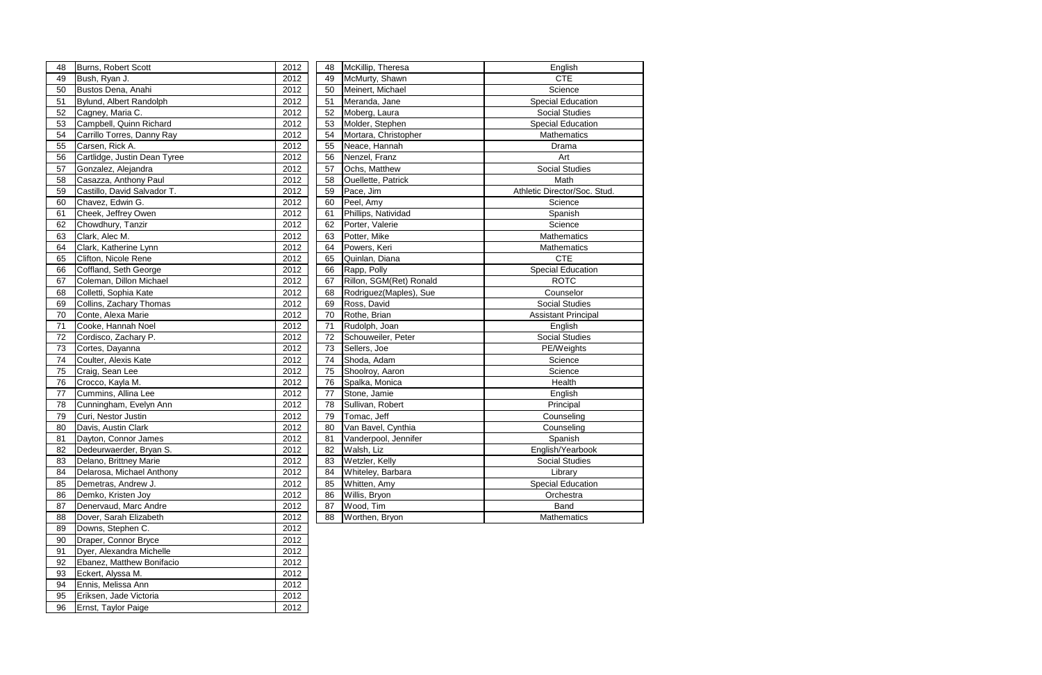| 48 | Burns, Robert Scott          | 2012 | 48 | McKillip, Theresa         | English                      |
|----|------------------------------|------|----|---------------------------|------------------------------|
| 49 | Bush, Ryan J.                | 2012 | 49 | McMurty, Shawn            | <b>CTE</b>                   |
| 50 | Bustos Dena, Anahi           | 2012 | 50 | Meinert, Michael          | Science                      |
| 51 | Bylund, Albert Randolph      | 2012 | 51 | Meranda, Jane             | <b>Special Education</b>     |
| 52 | Cagney, Maria C.             | 2012 | 52 | Moberg, Laura             | <b>Social Studies</b>        |
| 53 | Campbell, Quinn Richard      | 2012 | 53 | Molder, Stephen           | <b>Special Education</b>     |
| 54 | Carrillo Torres, Danny Ray   | 2012 | 54 | Mortara, Christopher      | <b>Mathematics</b>           |
| 55 | Carsen, Rick A.              | 2012 | 55 | Neace, Hannah             | Drama                        |
| 56 | Cartlidge, Justin Dean Tyree | 2012 | 56 | Nenzel, Franz             | Art                          |
| 57 | Gonzalez, Alejandra          | 2012 | 57 | Ochs, Matthew             | <b>Social Studies</b>        |
| 58 | Casazza, Anthony Paul        | 2012 | 58 | <b>Ouellette, Patrick</b> | Math                         |
| 59 | Castillo, David Salvador T.  | 2012 | 59 | Pace, Jim                 | Athletic Director/Soc. Stud. |
| 60 | Chavez, Edwin G.             | 2012 | 60 | Peel, Amy                 | Science                      |
| 61 | Cheek, Jeffrey Owen          | 2012 | 61 | Phillips, Natividad       | Spanish                      |
| 62 | Chowdhury, Tanzir            | 2012 | 62 | Porter, Valerie           | Science                      |
| 63 | Clark, Alec M.               | 2012 | 63 | Potter, Mike              | <b>Mathematics</b>           |
| 64 | Clark, Katherine Lynn        | 2012 | 64 | Powers, Keri              | Mathematics                  |
| 65 | Clifton, Nicole Rene         | 2012 | 65 | Quinlan, Diana            | <b>CTE</b>                   |
| 66 | Coffland, Seth George        | 2012 | 66 | Rapp, Polly               | <b>Special Education</b>     |
| 67 | Coleman, Dillon Michael      | 2012 | 67 | Rillon, SGM(Ret) Ronald   | <b>ROTC</b>                  |
| 68 | Colletti, Sophia Kate        | 2012 | 68 | Rodriguez(Maples), Sue    | Counselor                    |
| 69 | Collins, Zachary Thomas      | 2012 | 69 | Ross, David               | <b>Social Studies</b>        |
| 70 | Conte, Alexa Marie           | 2012 | 70 | Rothe, Brian              | <b>Assistant Principal</b>   |
| 71 | Cooke, Hannah Noel           | 2012 | 71 | Rudolph, Joan             | English                      |
| 72 | Cordisco, Zachary P.         | 2012 | 72 | Schouweiler, Peter        | Social Studies               |
| 73 | Cortes, Dayanna              | 2012 | 73 | Sellers, Joe              | PE/Weights                   |
| 74 | Coulter, Alexis Kate         | 2012 | 74 | Shoda, Adam               | Science                      |
| 75 | Craig, Sean Lee              | 2012 | 75 | Shoolroy, Aaron           | Science                      |
| 76 | Crocco, Kayla M.             | 2012 | 76 | Spalka, Monica            | Health                       |
| 77 | Cummins, Allina Lee          | 2012 | 77 | Stone, Jamie              | English                      |
| 78 | Cunningham, Evelyn Ann       | 2012 | 78 | Sullivan, Robert          | Principal                    |
| 79 | Curi, Nestor Justin          | 2012 | 79 | Tomac, Jeff               | Counseling                   |
| 80 | Davis, Austin Clark          | 2012 | 80 | Van Bavel, Cynthia        | Counseling                   |
| 81 | Dayton, Connor James         | 2012 | 81 | Vanderpool, Jennifer      | Spanish                      |
| 82 | Dedeurwaerder, Bryan S.      | 2012 | 82 | Walsh, Liz                | English/Yearbook             |
| 83 | Delano, Brittney Marie       | 2012 | 83 | Wetzler, Kelly            | Social Studies               |
| 84 | Delarosa, Michael Anthony    | 2012 | 84 | Whiteley, Barbara         | Library                      |
| 85 | Demetras, Andrew J.          | 2012 | 85 | Whitten, Amy              | <b>Special Education</b>     |
| 86 | Demko, Kristen Joy           | 2012 | 86 | Willis, Bryon             | Orchestra                    |
| 87 | Denervaud, Marc Andre        | 2012 | 87 | Wood, Tim                 | Band                         |
| 88 | Dover, Sarah Elizabeth       | 2012 | 88 | Worthen, Bryon            | Mathematics                  |
| 89 | Downs, Stephen C.            | 2012 |    |                           |                              |
| 90 | Draper, Connor Bryce         | 2012 |    |                           |                              |
| 91 | Dyer, Alexandra Michelle     | 2012 |    |                           |                              |
| 92 | Ebanez, Matthew Bonifacio    | 2012 |    |                           |                              |
| 93 | Eckert, Alyssa M.            | 2012 |    |                           |                              |
| 94 | Ennis, Melissa Ann           | 2012 |    |                           |                              |
| 95 | Eriksen, Jade Victoria       | 2012 |    |                           |                              |

95 Eriksen, Jade Victoria 2012<br>96 Ernst, Taylor Paige 2012

96 Ernst, Taylor Paige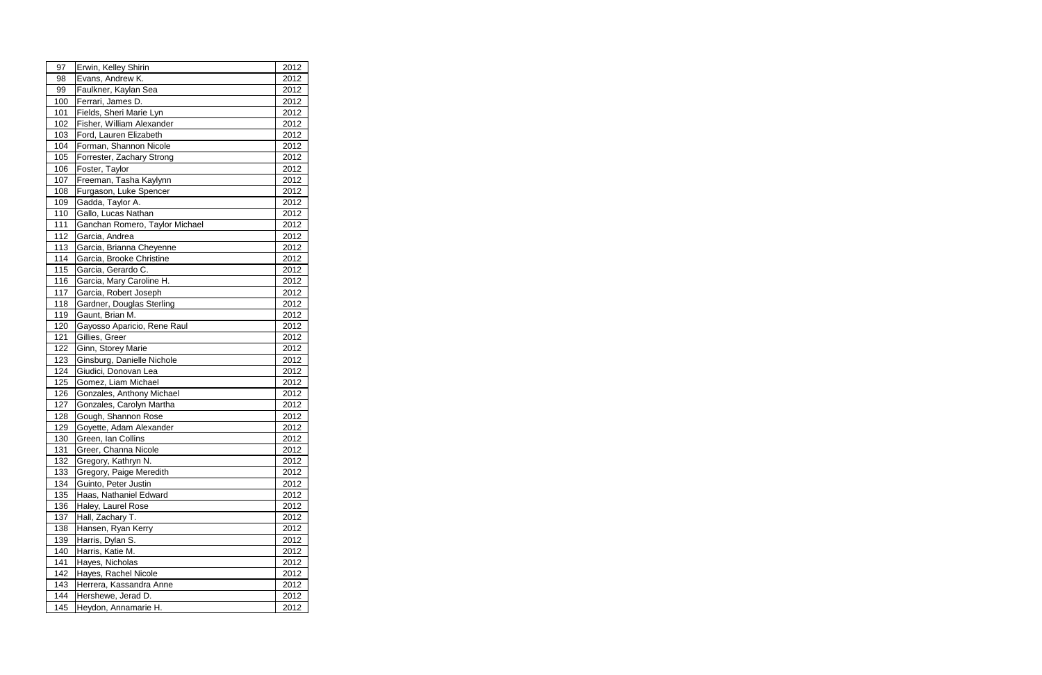| 97  | Erwin, Kelley Shirin           | 2012 |
|-----|--------------------------------|------|
| 98  | Evans, Andrew K.               | 2012 |
| 99  | Faulkner, Kaylan Sea           | 2012 |
| 100 | Ferrari, James D.              | 2012 |
| 101 | Fields, Sheri Marie Lyn        | 2012 |
| 102 | Fisher, William Alexander      | 2012 |
| 103 | Ford, Lauren Elizabeth         | 2012 |
| 104 | Forman, Shannon Nicole         | 2012 |
| 105 | Forrester, Zachary Strong      | 2012 |
| 106 | Foster, Taylor                 | 2012 |
| 107 | Freeman, Tasha Kaylynn         | 2012 |
| 108 | Furgason, Luke Spencer         | 2012 |
| 109 | Gadda, Taylor A.               | 2012 |
| 110 | Gallo, Lucas Nathan            | 2012 |
| 111 | Ganchan Romero, Taylor Michael | 2012 |
| 112 | Garcia, Andrea                 | 2012 |
| 113 | Garcia, Brianna Cheyenne       | 2012 |
| 114 | Garcia, Brooke Christine       | 2012 |
| 115 | Garcia, Gerardo C.             | 2012 |
| 116 | Garcia, Mary Caroline H.       | 2012 |
| 117 | Garcia, Robert Joseph          | 2012 |
| 118 | Gardner, Douglas Sterling      | 2012 |
| 119 | Gaunt, Brian M.                | 2012 |
| 120 | Gayosso Aparicio, Rene Raul    | 2012 |
| 121 | Gillies, Greer                 | 2012 |
| 122 | Ginn, Storey Marie             | 2012 |
| 123 | Ginsburg, Danielle Nichole     | 2012 |
| 124 | Giudici, Donovan Lea           | 2012 |
| 125 | Gomez, Liam Michael            | 2012 |
| 126 | Gonzales, Anthony Michael      | 2012 |
| 127 | Gonzales, Carolyn Martha       | 2012 |
| 128 | Gough, Shannon Rose            | 2012 |
| 129 | Goyette, Adam Alexander        | 2012 |
| 130 | Green, Ian Collins             | 2012 |
| 131 | Greer, Channa Nicole           | 2012 |
| 132 | Gregory, Kathryn N.            | 2012 |
| 133 | Gregory, Paige Meredith        | 2012 |
| 134 | Guinto, Peter Justin           | 2012 |
| 135 | Haas, Nathaniel Edward         | 2012 |
| 136 | Haley, Laurel Rose             | 2012 |
| 137 | Hall, Zachary T.               | 2012 |
| 138 | Hansen, Ryan Kerry             | 2012 |
| 139 | Harris, Dylan S.               | 2012 |
| 140 | Harris, Katie M.               | 2012 |
| 141 | Hayes, Nicholas                | 2012 |
| 142 | Hayes, Rachel Nicole           | 2012 |
| 143 | Herrera, Kassandra Anne        | 2012 |
| 144 | Hershewe, Jerad D.             | 2012 |
| 145 | Heydon, Annamarie H.           | 2012 |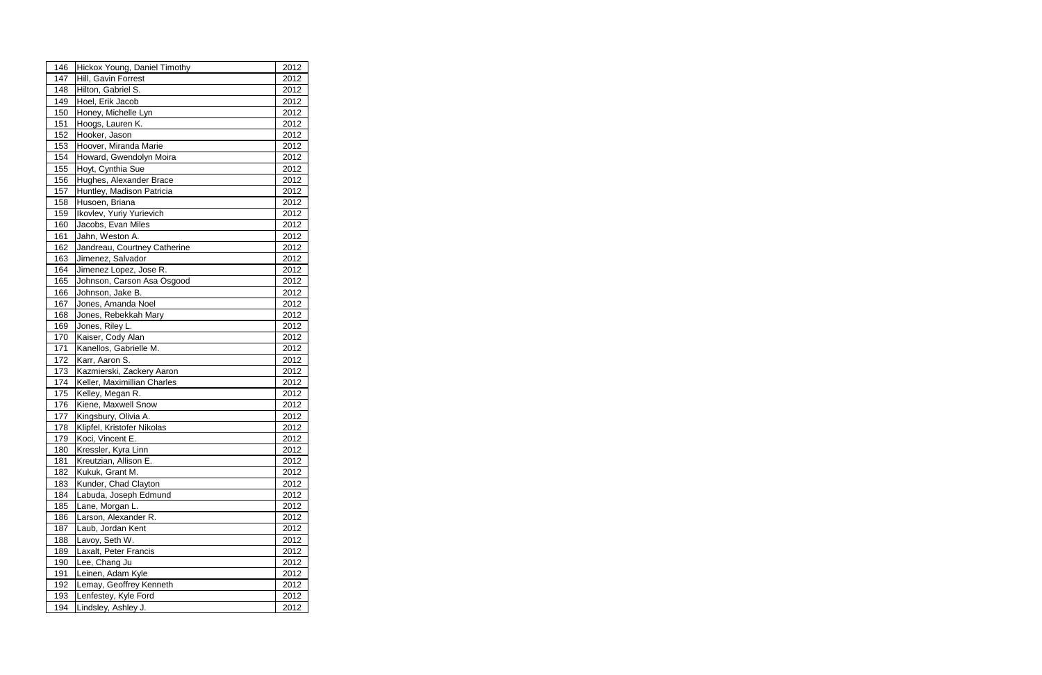| 146 | Hickox Young, Daniel Timothy | 2012 |
|-----|------------------------------|------|
| 147 | Hill, Gavin Forrest          | 2012 |
| 148 | Hilton, Gabriel S.           | 2012 |
| 149 | Hoel, Erik Jacob             | 2012 |
| 150 | Honey, Michelle Lyn          | 2012 |
| 151 | Hoogs, Lauren K.             | 2012 |
| 152 | Hooker, Jason                | 2012 |
| 153 | Hoover, Miranda Marie        | 2012 |
| 154 | Howard, Gwendolyn Moira      | 2012 |
| 155 | Hoyt, Cynthia Sue            | 2012 |
| 156 | Hughes, Alexander Brace      | 2012 |
| 157 | Huntley, Madison Patricia    | 2012 |
| 158 | Husoen, Briana               | 2012 |
| 159 | Ikovlev, Yuriy Yurievich     | 2012 |
| 160 | Jacobs, Evan Miles           | 2012 |
| 161 | Jahn, Weston A.              | 2012 |
| 162 | Jandreau, Courtney Catherine | 2012 |
| 163 | Jimenez, Salvador            | 2012 |
| 164 | Jimenez Lopez, Jose R.       | 2012 |
| 165 | Johnson, Carson Asa Osgood   | 2012 |
| 166 | Johnson, Jake B.             | 2012 |
| 167 | Jones, Amanda Noel           | 2012 |
| 168 | Jones, Rebekkah Mary         | 2012 |
| 169 | Jones, Riley L.              | 2012 |
| 170 | Kaiser, Cody Alan            | 2012 |
| 171 | Kanellos, Gabrielle M.       | 2012 |
| 172 | Karr, Aaron S.               | 2012 |
| 173 | Kazmierski, Zackery Aaron    | 2012 |
| 174 | Keller, Maximillian Charles  | 2012 |
| 175 | Kelley, Megan R.             | 2012 |
| 176 | Kiene, Maxwell Snow          | 2012 |
| 177 | Kingsbury, Olivia A.         | 2012 |
| 178 | Klipfel, Kristofer Nikolas   | 2012 |
| 179 | Koci, Vincent E.             | 2012 |
| 180 | Kressler, Kyra Linn          | 2012 |
| 181 | Kreutzian, Allison E.        | 2012 |
| 182 | Kukuk, Grant M.              | 2012 |
| 183 | Kunder, Chad Clayton         | 2012 |
| 184 | Labuda, Joseph Edmund        | 2012 |
| 185 | Lane, Morgan L.              | 2012 |
| 186 | Larson, Alexander R.         | 2012 |
| 187 | Laub, Jordan Kent            | 2012 |
| 188 | Lavoy, Seth W.               | 2012 |
| 189 | Laxalt, Peter Francis        | 2012 |
| 190 | Lee, Chang Ju                | 2012 |
| 191 | Leinen, Adam Kyle            | 2012 |
| 192 | Lemay, Geoffrey Kenneth      | 2012 |
| 193 | Lenfestey, Kyle Ford         | 2012 |
| 194 | Lindsley, Ashley J.          | 2012 |
|     |                              |      |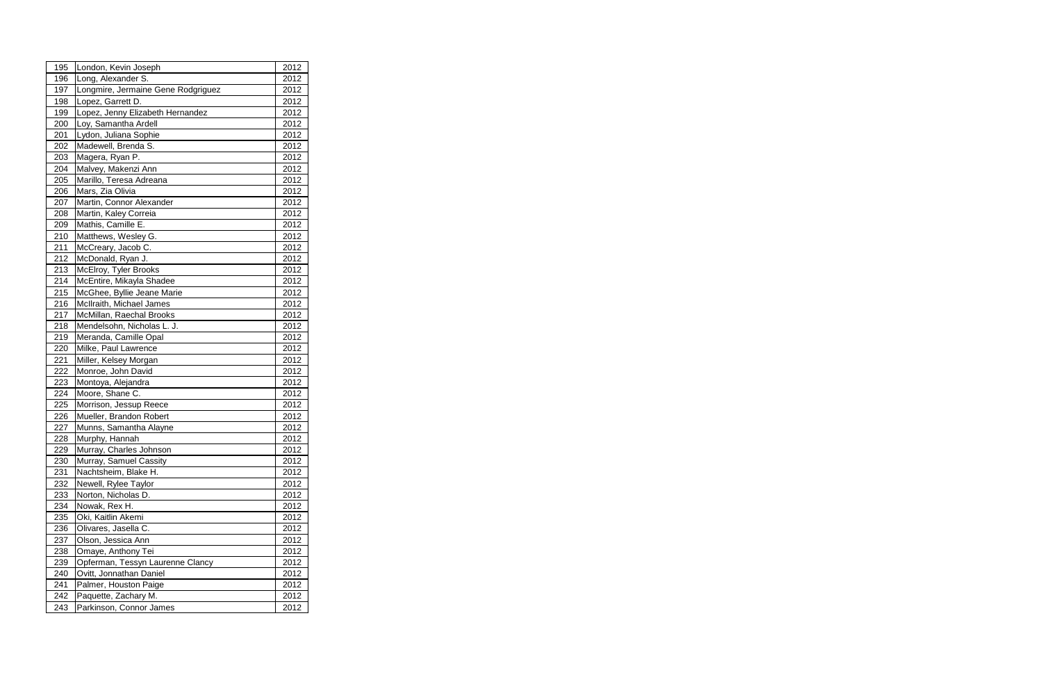| 195 | London, Kevin Joseph               | 2012 |
|-----|------------------------------------|------|
| 196 | Long, Alexander S.                 | 2012 |
| 197 | Longmire, Jermaine Gene Rodgriguez | 2012 |
| 198 | Lopez, Garrett D.                  | 2012 |
| 199 | Lopez, Jenny Elizabeth Hernandez   | 2012 |
| 200 | Loy, Samantha Ardell               | 2012 |
| 201 | Lydon, Juliana Sophie              | 2012 |
| 202 | Madewell, Brenda S.                | 2012 |
| 203 | Magera, Ryan P.                    | 2012 |
| 204 | Malvey, Makenzi Ann                | 2012 |
| 205 | Marillo, Teresa Adreana            | 2012 |
| 206 | Mars, Zia Olivia                   | 2012 |
| 207 | Martin, Connor Alexander           | 2012 |
| 208 | Martin, Kaley Correia              | 2012 |
| 209 | Mathis, Camille E.                 | 2012 |
| 210 | Matthews, Wesley G.                | 2012 |
| 211 | McCreary, Jacob C.                 | 2012 |
| 212 | McDonald, Ryan J.                  | 2012 |
| 213 | McElroy, Tyler Brooks              | 2012 |
| 214 | McEntire, Mikayla Shadee           | 2012 |
| 215 | McGhee, Byllie Jeane Marie         | 2012 |
| 216 | McIlraith, Michael James           | 2012 |
| 217 | McMillan, Raechal Brooks           | 2012 |
| 218 | Mendelsohn, Nicholas L. J.         | 2012 |
| 219 | Meranda, Camille Opal              | 2012 |
| 220 | Milke, Paul Lawrence               | 2012 |
| 221 | Miller, Kelsey Morgan              | 2012 |
| 222 | Monroe, John David                 | 2012 |
| 223 | Montoya, Alejandra                 | 2012 |
| 224 | Moore, Shane C.                    | 2012 |
| 225 | Morrison, Jessup Reece             | 2012 |
| 226 | Mueller, Brandon Robert            | 2012 |
| 227 | Munns, Samantha Alayne             | 2012 |
| 228 | Murphy, Hannah                     | 2012 |
| 229 | Murray, Charles Johnson            | 2012 |
| 230 | Murray, Samuel Cassity             | 2012 |
| 231 | Nachtsheim, Blake H.               | 2012 |
| 232 | Newell, Rylee Taylor               | 2012 |
| 233 | Norton, Nicholas D.                | 2012 |
| 234 | Nowak, Rex H.                      | 2012 |
| 235 | Oki, Kaitlin Akemi                 | 2012 |
| 236 | Olivares, Jasella C.               | 2012 |
| 237 | Olson, Jessica Ann                 | 2012 |
| 238 | Omaye, Anthony Tei                 | 2012 |
| 239 | Opferman, Tessyn Laurenne Clancy   | 2012 |
| 240 | Ovitt, Jonnathan Daniel            | 2012 |
| 241 | Palmer, Houston Paige              | 2012 |
| 242 | Paquette, Zachary M.               | 2012 |
| 243 | Parkinson, Connor James            | 2012 |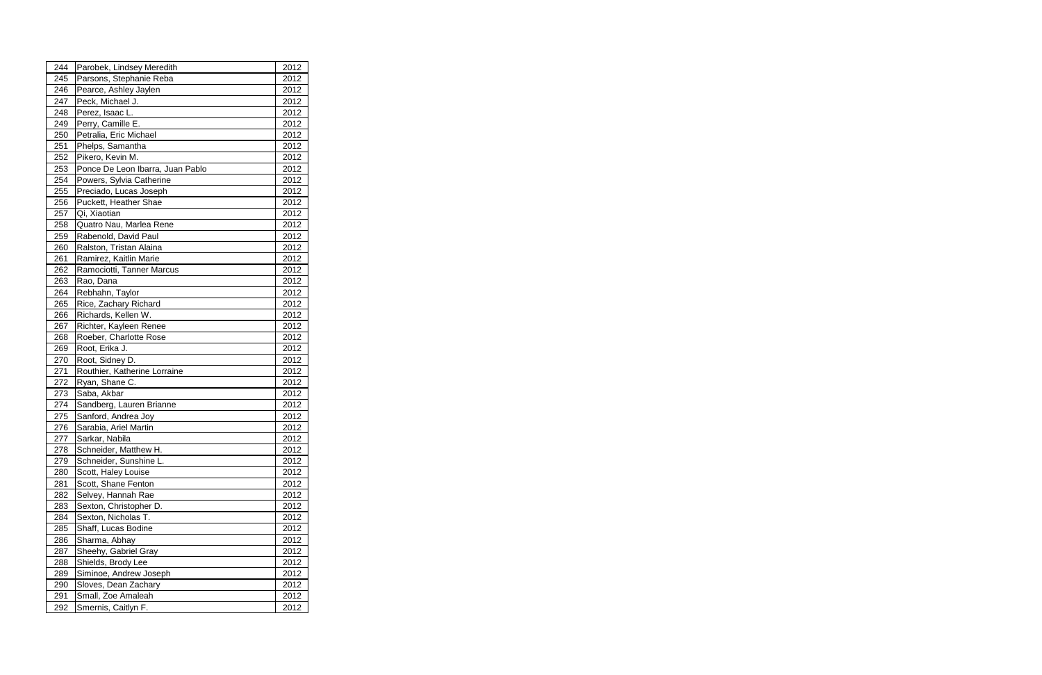| 244 | Parobek, Lindsey Meredith        | 2012 |
|-----|----------------------------------|------|
| 245 | Parsons, Stephanie Reba          | 2012 |
| 246 | Pearce, Ashley Jaylen            | 2012 |
| 247 | Peck, Michael J.                 | 2012 |
| 248 | Perez, Isaac L.                  | 2012 |
| 249 | Perry, Camille E.                | 2012 |
| 250 | Petralia, Eric Michael           | 2012 |
| 251 | Phelps, Samantha                 | 2012 |
| 252 | Pikero, Kevin M.                 | 2012 |
| 253 | Ponce De Leon Ibarra, Juan Pablo | 2012 |
| 254 | Powers, Sylvia Catherine         | 2012 |
| 255 | Preciado, Lucas Joseph           | 2012 |
| 256 | Puckett, Heather Shae            | 2012 |
| 257 | Qi, Xiaotian                     | 2012 |
| 258 | Quatro Nau, Marlea Rene          | 2012 |
| 259 | Rabenold, David Paul             | 2012 |
| 260 | Ralston, Tristan Alaina          | 2012 |
| 261 | Ramirez, Kaitlin Marie           | 2012 |
| 262 | Ramociotti, Tanner Marcus        | 2012 |
| 263 | Rao, Dana                        | 2012 |
| 264 | Rebhahn, Taylor                  | 2012 |
| 265 | Rice, Zachary Richard            | 2012 |
| 266 | Richards, Kellen W.              | 2012 |
| 267 | Richter, Kayleen Renee           | 2012 |
| 268 | Roeber, Charlotte Rose           | 2012 |
| 269 | Root, Erika J.                   | 2012 |
| 270 | Root, Sidney D.                  | 2012 |
| 271 | Routhier, Katherine Lorraine     | 2012 |
| 272 | Ryan, Shane C.                   | 2012 |
| 273 | Saba, Akbar                      | 2012 |
| 274 | Sandberg, Lauren Brianne         | 2012 |
| 275 | Sanford, Andrea Joy              | 2012 |
| 276 | Sarabia, Ariel Martin            | 2012 |
| 277 | Sarkar, Nabila                   | 2012 |
| 278 | Schneider, Matthew H.            | 2012 |
| 279 | Schneider, Sunshine L.           | 2012 |
| 280 | Scott, Haley Louise              | 2012 |
| 281 | Scott, Shane Fenton              | 2012 |
| 282 | Selvey, Hannah Rae               | 2012 |
| 283 | Sexton, Christopher D.           | 2012 |
| 284 | Sexton, Nicholas T.              | 2012 |
| 285 | Shaff, Lucas Bodine              | 2012 |
| 286 | Sharma, Abhay                    | 2012 |
| 287 | Sheehy, Gabriel Gray             | 2012 |
| 288 | Shields, Brody Lee               | 2012 |
| 289 | Siminoe, Andrew Joseph           | 2012 |
| 290 | Sloves, Dean Zachary             | 2012 |
| 291 | Small, Zoe Amaleah               | 2012 |
| 292 | Smernis, Caitlyn F.              | 2012 |
|     |                                  |      |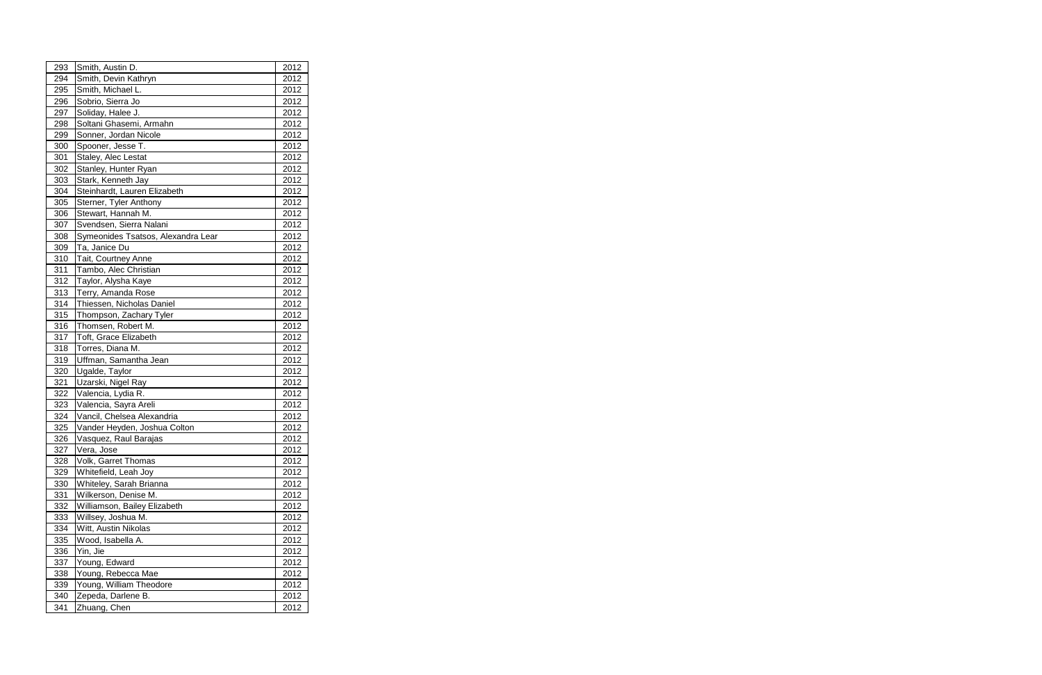| 293 | Smith, Austin D.                   | 2012 |  |
|-----|------------------------------------|------|--|
| 294 | Smith, Devin Kathryn               | 2012 |  |
| 295 | Smith, Michael L.                  | 2012 |  |
| 296 | Sobrio, Sierra Jo                  | 2012 |  |
| 297 | Soliday, Halee J.                  | 2012 |  |
| 298 | Soltani Ghasemi, Armahn            | 2012 |  |
| 299 | Sonner, Jordan Nicole              | 2012 |  |
| 300 | Spooner, Jesse T.                  | 2012 |  |
| 301 | Staley, Alec Lestat                | 2012 |  |
| 302 | Stanley, Hunter Ryan               | 2012 |  |
| 303 | Stark, Kenneth Jay                 | 2012 |  |
| 304 | Steinhardt, Lauren Elizabeth       | 2012 |  |
| 305 | Sterner, Tyler Anthony             | 2012 |  |
| 306 | Stewart, Hannah M.                 | 2012 |  |
| 307 | Svendsen, Sierra Nalani            | 2012 |  |
| 308 | Symeonides Tsatsos, Alexandra Lear | 2012 |  |
| 309 | Ta, Janice Du                      | 2012 |  |
| 310 | Tait, Courtney Anne                | 2012 |  |
| 311 | Tambo, Alec Christian              | 2012 |  |
| 312 | Taylor, Alysha Kaye                | 2012 |  |
| 313 | Terry, Amanda Rose                 | 2012 |  |
| 314 | Thiessen, Nicholas Daniel          | 2012 |  |
| 315 | Thompson, Zachary Tyler            | 2012 |  |
| 316 | Thomsen, Robert M.                 | 2012 |  |
| 317 | Toft, Grace Elizabeth              | 2012 |  |
| 318 | Torres, Diana M.                   | 2012 |  |
| 319 | Uffman, Samantha Jean              | 2012 |  |
| 320 | Ugalde, Taylor                     | 2012 |  |
| 321 | Uzarski, Nigel Ray                 | 2012 |  |
| 322 | Valencia, Lydia R.                 | 2012 |  |
| 323 | Valencia, Sayra Areli              | 2012 |  |
| 324 | Vancil, Chelsea Alexandria         | 2012 |  |
| 325 | Vander Heyden, Joshua Colton       | 2012 |  |
| 326 | Vasquez, Raul Barajas              | 2012 |  |
| 327 | Vera, Jose                         | 2012 |  |
| 328 | Volk, Garret Thomas                | 2012 |  |
| 329 | Whitefield, Leah Joy               | 2012 |  |
| 330 | Whiteley, Sarah Brianna            | 2012 |  |
| 331 | Wilkerson, Denise M.               | 2012 |  |
| 332 | Williamson, Bailey Elizabeth       | 2012 |  |
| 333 | Willsey, Joshua M.                 | 2012 |  |
| 334 | Witt, Austin Nikolas               | 2012 |  |
| 335 | Wood, Isabella A.                  | 2012 |  |
| 336 | Yin, Jie                           | 2012 |  |
| 337 | Young, Edward                      | 2012 |  |
| 338 | Young, Rebecca Mae                 | 2012 |  |
| 339 | Young, William Theodore            | 2012 |  |
| 340 | Zepeda, Darlene B.                 | 2012 |  |
| 341 | Zhuang, Chen                       | 2012 |  |